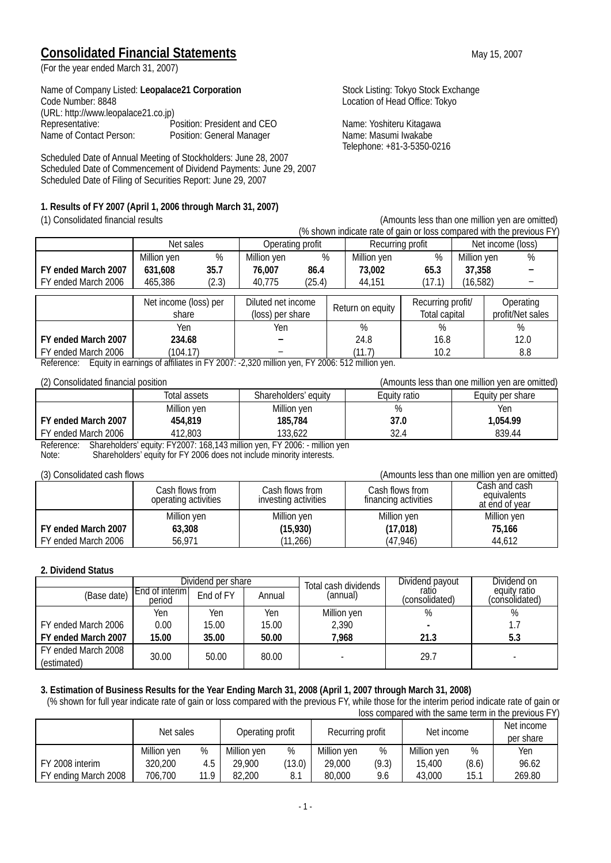## **Consolidated Financial Statements** May 15, 2007

(For the year ended March 31, 2007)

Name of Company Listed: Leopalace21 Corporation<br>
Code Number: 8848<br>
Location of Head Office: Tokyo (URL: http://www.leopalace21.co.jp) Representative: Position: President and CEO Name: Yoshiteru Kitagawa Name of Contact Person: Position: General Manager Name: Masumi Iwakabe

Scheduled Date of Annual Meeting of Stockholders: June 28, 2007 Scheduled Date of Commencement of Dividend Payments: June 29, 2007 Scheduled Date of Filing of Securities Report: June 29, 2007

#### **1. Results of FY 2007 (April 1, 2006 through March 31, 2007)**

Location of Head Office: Tokyo

Telephone: +81-3-5350-0216

| T) CUIDUNAREU IIIIAHGA IEDUS<br>(ATHOUTILS IESS THAT TURNER FININGER) (CHECKER) |                       |       |                    |        |  |                  |                   |             |                   |                  |
|---------------------------------------------------------------------------------|-----------------------|-------|--------------------|--------|--|------------------|-------------------|-------------|-------------------|------------------|
| (% shown indicate rate of gain or loss compared with the previous FY)           |                       |       |                    |        |  |                  |                   |             |                   |                  |
|                                                                                 | Net sales             |       | Operating profit   |        |  | Recurring profit |                   |             | Net income (loss) |                  |
|                                                                                 | Million yen           | %     | Million yen        | $\%$   |  | Million yen      | %                 | Million yen |                   | $\%$             |
| FY ended March 2007                                                             | 631,608               | 35.7  | 76.007             | 86.4   |  | 73,002           | 65.3              | 37,358      |                   |                  |
| FY ended March 2006                                                             | 465,386               | (2.3) | 40.775             | (25.4) |  | 44,151           | (17.1)            | (16, 582)   |                   |                  |
|                                                                                 | Net income (loss) per |       | Diluted net income |        |  | Return on equity | Recurring profit/ |             |                   | Operating        |
|                                                                                 | share                 |       | (loss) per share   |        |  |                  | Total capital     |             |                   | profit/Net sales |
|                                                                                 | Yen                   |       | Yen                |        |  | $\%$             | %                 |             |                   | %                |
| FY ended March 2007                                                             | 234.68                |       |                    |        |  | 24.8             | 16.8              |             |                   | 12.0             |
| FY ended March 2006                                                             | (104.17)              |       |                    |        |  | (11.7)           | 10.2              |             |                   | 8.8              |

Reference: Equity in earnings of affiliates in FY 2007: -2,320 million yen, FY 2006: 512 million yen.

| LET OUTSUIGATUG IIITAHUIGI PUSITUIT |              |                                                                                 |              | $\mu$ and anti-cost than one million you are omitted, |
|-------------------------------------|--------------|---------------------------------------------------------------------------------|--------------|-------------------------------------------------------|
|                                     | Total assets | Shareholders' equity                                                            | Equity ratio | Equity per share                                      |
|                                     | Million yen  | Million yen                                                                     | %            | Yen                                                   |
| FY ended March 2007                 | 454.819      | 185,784                                                                         | 37.0         | 1.054.99                                              |
| FY ended March 2006                 | 412,803      | 133.622                                                                         | 32.4         | 839.44                                                |
|                                     |              | Deference Charabolders' equity EV2007, 140, 142 million ven EV2004, million von |              |                                                       |

Reference: Shareholders' equity: FY2007: 168,143 million yen, FY 2006: - million yen Note: Shareholders' equity for FY 2006 does not include minority interests.

#### (3) Consolidated cash flows (Amounts less than one million yen are omitted)

|                     | Cash flows from<br>operating activities | Cash flows from<br>investing activities | Cash flows from<br>financing activities | Cash and cash.<br>equivalents<br>at end of year |
|---------------------|-----------------------------------------|-----------------------------------------|-----------------------------------------|-------------------------------------------------|
|                     | Million yen                             | Million yen                             | Million yen                             | Million yen                                     |
| FY ended March 2007 | 63,308                                  | (15, 930)                               | (17, 018)                               | 75.166                                          |
| FY ended March 2006 | 56.971                                  | (11, 266)                               | (47, 946)                               | 44.612                                          |

#### **2. Dividend Status**

|                                    |                          | Dividend per share |        | Total cash dividends | Dividend payout         | Dividend on                    |
|------------------------------------|--------------------------|--------------------|--------|----------------------|-------------------------|--------------------------------|
| (Base date)                        | End of interim<br>period | End of FY          | Annual | (annual)             | ratio<br>(consolidated) | equity ratio<br>(consolidated) |
|                                    | Yen                      | Yen                | Yen    | Million yen          | %                       | %                              |
| FY ended March 2006                | 0.00                     | 15.00              | 15.00  | 2,390                |                         | $1.\overline{7}$               |
| FY ended March 2007                | 15.00                    | 35.00              | 50.00  | 7,968                | 21.3                    | 5.3                            |
| FY ended March 2008<br>(estimated) | 30.00                    | 50.00              | 80.00  |                      | 29.7                    |                                |

#### **3. Estimation of Business Results for the Year Ending March 31, 2008 (April 1, 2007 through March 31, 2008)**

(% shown for full year indicate rate of gain or loss compared with the previous FY, while those for the interim period indicate rate of gain or loss compared with the same term in the previous FY)

|                      | Net sales   |      | Operating profit |        | Recurring profit |       | Net income  |       | Net income<br>per share |
|----------------------|-------------|------|------------------|--------|------------------|-------|-------------|-------|-------------------------|
|                      | Million yen | %    | Million yen      | $\%$   | Million yen      | %     | Million yen | %     | Yen                     |
| FY 2008 interim      | 320,200     | 4.5  | 29,900           | (13.0) | 29,000           | (9.3) | 15,400      | (8.6) | 96.62                   |
| FY ending March 2008 | 706,700     | 11.9 | 82,200           |        | 80,000           | 9.6   | 43,000      | 15.1  | 269.80                  |

(1) Consolidated financial results (Amounts less than one million yen are omitted)

(2) Consolidated financial position (Amounts less than one million yen are omitted)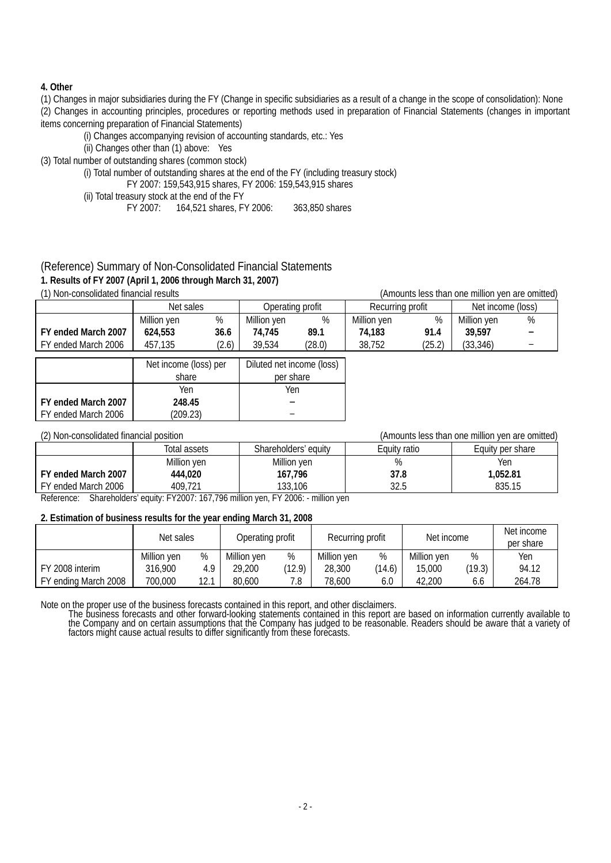#### **4. Other**

(1) Changes in major subsidiaries during the FY (Change in specific subsidiaries as a result of a change in the scope of consolidation): None (2) Changes in accounting principles, procedures or reporting methods used in preparation of Financial Statements (changes in important items concerning preparation of Financial Statements)

(i) Changes accompanying revision of accounting standards, etc.: Yes

(ii) Changes other than (1) above: Yes

(3) Total number of outstanding shares (common stock)

(i) Total number of outstanding shares at the end of the FY (including treasury stock)

FY 2007: 159,543,915 shares, FY 2006: 159,543,915 shares

(ii) Total treasury stock at the end of the FY<br>FY 2007: 164.521 shares. F

FY 2007: 164,521 shares, FY 2006: 363,850 shares

### (Reference) Summary of Non-Consolidated Financial Statements

#### **1. Results of FY 2007 (April 1, 2006 through March 31, 2007)**

(1) Non-consolidated financial results (Amounts less than one million yen are omitted)

| <u> 17 IVOH OOHOOHUUUGU IIHUHOIGH IGOUNG</u><br>0 11110 1110 1233 1110 11 12 12 11 11 11 12 13 14 15 16 17 18 19 19 19 19 19 19 1 |                               |       |                  |        |                   |        |             |  |
|-----------------------------------------------------------------------------------------------------------------------------------|-------------------------------|-------|------------------|--------|-------------------|--------|-------------|--|
|                                                                                                                                   | Operating profit<br>Net sales |       | Recurring profit |        | Net income (loss) |        |             |  |
|                                                                                                                                   | Million ven                   | %     | Million yen      | %      | Million yen       | %      | Million ven |  |
| FY ended March 2007                                                                                                               | 624.553                       | 36.6  | 74.745           | 89.1   | 74,183            | 91.4   | 39.597      |  |
| FY ended March 2006                                                                                                               | 457.135                       | (2.6) | 39,534           | (28.0) | 38.752            | (25.2) | (33, 346)   |  |

|                     | Net income (loss) per<br>share | Diluted net income (loss)<br>per share |
|---------------------|--------------------------------|----------------------------------------|
|                     |                                |                                        |
|                     | Yen                            | Yen                                    |
| FY ended March 2007 | 248.45                         |                                        |
| FY ended March 2006 | (209.23)                       |                                        |

(2) Non-consolidated financial position (Amounts less than one million yen are omitted)

|                         | Total assets                | Shareholders' equity  | Equity ratio | Equity per share |
|-------------------------|-----------------------------|-----------------------|--------------|------------------|
|                         | Million yen                 | Million yen           | 0/<br>70     | Yen              |
| FY ended March 2007     | 444,020                     | 167,796               | 37.8         | 1.052.81         |
| FY ended March 2006     | 409.721                     | 133,106               | 32.5         | 835.15           |
| $\sim$ $\sim$<br>$\sim$ | $-1.78888 - 1.78888$<br>. . | <br>$-1$ . $-2$ .<br> |              |                  |

Reference: Shareholders' equity: FY2007: 167,796 million yen, FY 2006: - million yen

#### **2. Estimation of business results for the year ending March 31, 2008**

|                      | Net sales   |      | Operating profit |        | Recurring profit |        | Net income  |        | Net income<br>per share |
|----------------------|-------------|------|------------------|--------|------------------|--------|-------------|--------|-------------------------|
|                      | Million yen | %    | Million yen      | %      | Million yen      | %      | Million yen | %      | Yen                     |
| FY 2008 interim      | 316.900     | 4.9  | 29,200           | (12.9) | 28,300           | (14.6) | 15,000      | (19.3) | 94.12                   |
| FY ending March 2008 | 700.000     | 12.1 | 80,600           | 7.8    | 78.600           | 6.0    | 42.200      | 6.6    | 264.78                  |

Note on the proper use of the business forecasts contained in this report, and other disclaimers.<br>The business forecasts and other forward-looking statements contained in this report are based on information currently avai the Company and on certain assumptions that the Company has judged to be reasonable. Readers should be aware that a variety of<br>factors might cause actual results to differ significantly from these forecasts.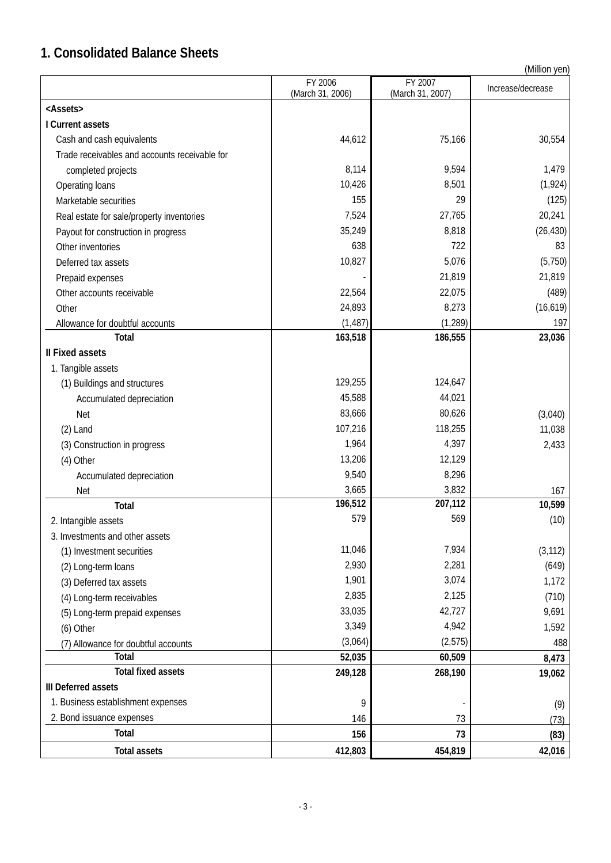# **1. Consolidated Balance Sheets**

(Million yen)

|                                               | FY 2006<br>(March 31, 2006) | FY 2007<br>(March 31, 2007) | Increase/decrease |
|-----------------------------------------------|-----------------------------|-----------------------------|-------------------|
| <assets></assets>                             |                             |                             |                   |
| I Current assets                              |                             |                             |                   |
| Cash and cash equivalents                     | 44,612                      | 75,166                      | 30,554            |
| Trade receivables and accounts receivable for |                             |                             |                   |
| completed projects                            | 8,114                       | 9,594                       | 1,479             |
| Operating loans                               | 10,426                      | 8,501                       | (1, 924)          |
| Marketable securities                         | 155                         | 29                          | (125)             |
| Real estate for sale/property inventories     | 7,524                       | 27,765                      | 20,241            |
| Payout for construction in progress           | 35,249                      | 8,818                       | (26, 430)         |
| Other inventories                             | 638                         | 722                         | 83                |
| Deferred tax assets                           | 10,827                      | 5,076                       | (5,750)           |
| Prepaid expenses                              |                             | 21,819                      | 21,819            |
| Other accounts receivable                     | 22,564                      | 22,075                      | (489)             |
| Other                                         | 24,893                      | 8,273                       | (16, 619)         |
| Allowance for doubtful accounts               | (1, 487)                    | (1, 289)                    | 197               |
| <b>Total</b>                                  | 163,518                     | 186,555                     | 23,036            |
| <b>Il Fixed assets</b>                        |                             |                             |                   |
| 1. Tangible assets                            |                             |                             |                   |
| (1) Buildings and structures                  | 129,255                     | 124,647                     |                   |
| Accumulated depreciation                      | 45,588                      | 44,021                      |                   |
| <b>Net</b>                                    | 83,666                      | 80,626                      | (3,040)           |
| $(2)$ Land                                    | 107,216                     | 118,255                     | 11,038            |
| (3) Construction in progress                  | 1,964                       | 4,397                       | 2,433             |
| (4) Other                                     | 13,206                      | 12,129                      |                   |
| Accumulated depreciation                      | 9,540                       | 8,296                       |                   |
| <b>Net</b>                                    | 3,665                       | 3,832                       | 167               |
| Total                                         | 196,512                     | 207,112                     | 10,599            |
| 2. Intangible assets                          | 579                         | 569                         | (10)              |
| 3. Investments and other assets               |                             |                             |                   |
| (1) Investment securities                     | 11,046                      | 7,934                       | (3, 112)          |
| (2) Long-term loans                           | 2,930                       | 2,281                       | (649)             |
| (3) Deferred tax assets                       | 1,901                       | 3,074                       | 1,172             |
| (4) Long-term receivables                     | 2,835                       | 2,125                       | (710)             |
| (5) Long-term prepaid expenses                | 33,035                      | 42,727                      | 9,691             |
| (6) Other                                     | 3,349                       | 4,942                       | 1,592             |
| (7) Allowance for doubtful accounts           | (3,064)                     | (2, 575)                    | 488               |
| Total                                         | 52,035                      | 60,509                      | 8,473             |
| <b>Total fixed assets</b>                     | 249,128                     | 268,190                     | 19,062            |
| III Deferred assets                           |                             |                             |                   |
| 1. Business establishment expenses            | 9                           |                             | (9)               |
| 2. Bond issuance expenses                     | 146                         | 73                          | (73)              |
| Total                                         | 156                         | 73                          | (83)              |
| <b>Total assets</b>                           | 412,803                     | 454,819                     | 42,016            |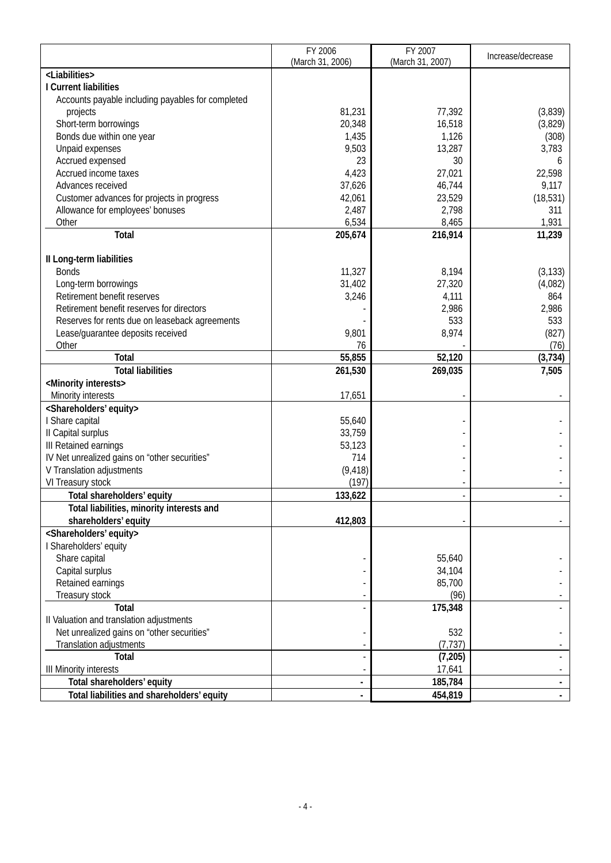|                                                   | FY 2006          | FY 2007          |                   |
|---------------------------------------------------|------------------|------------------|-------------------|
|                                                   | (March 31, 2006) | (March 31, 2007) | Increase/decrease |
| <liabilities></liabilities>                       |                  |                  |                   |
| I Current liabilities                             |                  |                  |                   |
| Accounts payable including payables for completed |                  |                  |                   |
| projects                                          | 81,231           | 77,392           | (3,839)           |
| Short-term borrowings                             | 20,348           | 16,518           | (3,829)           |
| Bonds due within one year                         | 1,435            | 1,126            | (308)             |
| Unpaid expenses                                   | 9,503            | 13,287           | 3,783             |
| Accrued expensed                                  | 23               | 30               | 6                 |
| Accrued income taxes                              | 4,423            | 27,021           | 22,598            |
| Advances received                                 | 37,626           | 46,744           | 9,117             |
|                                                   |                  | 23,529           |                   |
| Customer advances for projects in progress        | 42,061           |                  | (18, 531)         |
| Allowance for employees' bonuses                  | 2,487            | 2,798            | 311               |
| Other                                             | 6,534            | 8,465            | 1,931             |
| Total                                             | 205,674          | 216,914          | 11,239            |
| Il Long-term liabilities                          |                  |                  |                   |
| <b>Bonds</b>                                      | 11,327           | 8,194            | (3, 133)          |
|                                                   | 31,402           | 27,320           | (4,082)           |
| Long-term borrowings                              |                  |                  |                   |
| Retirement benefit reserves                       | 3,246            | 4,111            | 864               |
| Retirement benefit reserves for directors         |                  | 2,986            | 2,986             |
| Reserves for rents due on leaseback agreements    |                  | 533              | 533               |
| Lease/guarantee deposits received                 | 9,801            | 8,974            | (827)             |
| Other                                             | 76               |                  | (76)              |
| <b>Total</b>                                      | 55,855           | 52,120           | (3, 734)          |
| <b>Total liabilities</b>                          | 261,530          | 269,035          | 7,505             |
| <minority interests=""></minority>                |                  |                  |                   |
| Minority interests                                | 17,651           |                  |                   |
| <shareholders' equity=""></shareholders'>         |                  |                  |                   |
| I Share capital                                   | 55,640           |                  |                   |
| II Capital surplus                                | 33,759           |                  |                   |
| III Retained earnings                             | 53,123           |                  |                   |
| IV Net unrealized gains on "other securities"     | 714              |                  |                   |
| V Translation adjustments                         | (9, 418)         |                  |                   |
| VI Treasury stock                                 | (197)            |                  |                   |
| Total shareholders' equity                        | 133,622          |                  |                   |
| Total liabilities, minority interests and         |                  |                  |                   |
| shareholders' equity                              | 412,803          |                  |                   |
| <shareholders' equity=""></shareholders'>         |                  |                  |                   |
| I Shareholders' equity                            |                  |                  |                   |
| Share capital                                     |                  | 55,640           |                   |
| Capital surplus                                   |                  | 34,104           |                   |
| Retained earnings                                 |                  | 85,700           |                   |
| Treasury stock                                    |                  | (96)             |                   |
| Total                                             |                  | 175,348          |                   |
| II Valuation and translation adjustments          |                  |                  |                   |
| Net unrealized gains on "other securities"        |                  | 532              |                   |
|                                                   |                  |                  |                   |
| Translation adjustments<br>Total                  |                  | (7, 737)         |                   |
|                                                   |                  | (7, 205)         |                   |
| <b>III Minority interests</b>                     |                  | 17,641           |                   |
| Total shareholders' equity                        |                  | 185,784          |                   |
| Total liabilities and shareholders' equity        |                  | 454,819          |                   |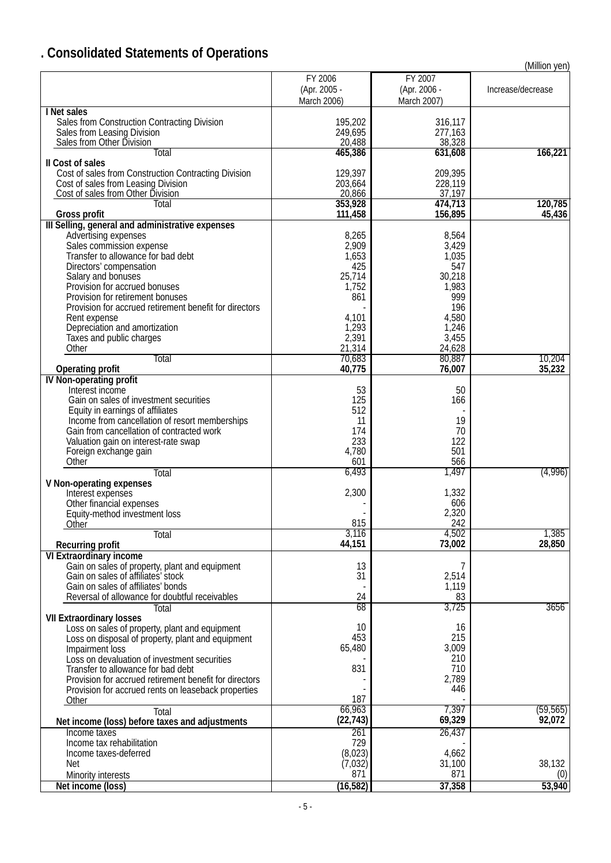# **. Consolidated Statements of Operations**

|                                                                                      |                                        |                                        | (Million yen)     |
|--------------------------------------------------------------------------------------|----------------------------------------|----------------------------------------|-------------------|
|                                                                                      | FY 2006<br>(Apr. 2005 -<br>March 2006) | FY 2007<br>(Apr. 2006 -<br>March 2007) | Increase/decrease |
| I Net sales                                                                          |                                        |                                        |                   |
| Sales from Construction Contracting Division                                         | 195,202                                | 316,117                                |                   |
| Sales from Leasing Division                                                          | 249,695                                | 277,163                                |                   |
| Sales from Other Division                                                            | 20,488                                 | 38,328                                 |                   |
| Total                                                                                | 465,386                                | 631,608                                | 166,221           |
| II Cost of sales                                                                     |                                        |                                        |                   |
| Cost of sales from Construction Contracting Division                                 | 129,397                                | 209,395                                |                   |
| Cost of sales from Leasing Division                                                  | 203,664                                | 228,119                                |                   |
| Cost of sales from Other Division                                                    | 20,866                                 | 37,197                                 |                   |
| Total                                                                                | 353,928                                | 474,713                                | 120,785           |
| Gross profit                                                                         | 111,458                                | 156,895                                | 45,436            |
| III Selling, general and administrative expenses                                     |                                        |                                        |                   |
| Advertising expenses                                                                 | 8,265                                  | 8,564                                  |                   |
| Sales commission expense                                                             | 2,909                                  | 3,429                                  |                   |
| Transfer to allowance for bad debt                                                   | 1,653                                  | 1,035                                  |                   |
| Directors' compensation                                                              | 425                                    | 547                                    |                   |
|                                                                                      | 25,714                                 | 30,218                                 |                   |
| Salary and bonuses<br>Provision for accrued bonuses                                  | 1,752                                  | 1,983                                  |                   |
| Provision for retirement bonuses                                                     | 861                                    | 999                                    |                   |
| Provision for accrued retirement benefit for directors                               |                                        | 196                                    |                   |
|                                                                                      |                                        | 4,580                                  |                   |
| Rent expense<br>Depreciation and amortization                                        | 4,101                                  |                                        |                   |
|                                                                                      | 1,293                                  | 1,246                                  |                   |
| Taxes and public charges                                                             | 2,391                                  | 3,455                                  |                   |
| Other                                                                                | 21,314                                 | 24,628<br>80,887                       |                   |
| Total                                                                                | 70,683                                 |                                        | 10,204            |
| <b>Operating profit</b>                                                              | 40,775                                 | 76,007                                 | 35,232            |
| IV Non-operating profit                                                              |                                        |                                        |                   |
| Interest income                                                                      | 53                                     | 50                                     |                   |
| Gain on sales of investment securities                                               | 125                                    | 166                                    |                   |
| Equity in earnings of affiliates<br>Income from cancellation of resort memberships   | 512                                    |                                        |                   |
|                                                                                      | 11                                     | 19                                     |                   |
| Gain from cancellation of contracted work                                            | 174                                    | 70                                     |                   |
| Valuation gain on interest-rate swap                                                 | 233                                    | 122                                    |                   |
| Foreign exchange gain                                                                | 4,780                                  | 501                                    |                   |
| Other                                                                                | 601                                    | 566                                    |                   |
| Total                                                                                | 6,493                                  | 1,497                                  | (4,996)           |
| V Non-operating expenses                                                             |                                        |                                        |                   |
| Interest expenses                                                                    | 2,300                                  | 1,332                                  |                   |
| Other financial expenses                                                             |                                        | 606                                    |                   |
| Equity-method investment loss                                                        |                                        | 2,320                                  |                   |
| Other                                                                                | 815                                    | 242                                    |                   |
| <b>Total</b>                                                                         | 3,116                                  | 4,502                                  | 1,385             |
| <b>Recurring profit</b>                                                              | 44,151                                 | 73,002                                 | 28,850            |
| <b>VI Extraordinary income</b>                                                       |                                        |                                        |                   |
| Gain on sales of property, plant and equipment<br>Gain on sales of affiliates' stock | 13                                     | 7                                      |                   |
|                                                                                      | 31                                     | 2,514                                  |                   |
| Gain on sales of affiliates' bonds                                                   |                                        | 1,119                                  |                   |
| Reversal of allowance for doubtful receivables                                       | 24                                     | 83                                     |                   |
| Total                                                                                | 68                                     | 3,725                                  | 3656              |
| <b>VII Extraordinary losses</b>                                                      |                                        |                                        |                   |
| Loss on sales of property, plant and equipment                                       | 10                                     | 16                                     |                   |
| Loss on disposal of property, plant and equipment                                    | 453                                    | 215                                    |                   |
| Impairment loss                                                                      | 65,480                                 | 3,009                                  |                   |
| Loss on devaluation of investment securities                                         |                                        | 210                                    |                   |
| Transfer to allowance for bad debt                                                   | 831                                    | 710                                    |                   |
| Provision for accrued retirement benefit for directors                               |                                        | 2,789                                  |                   |
| Provision for accrued rents on leaseback properties                                  |                                        | 446                                    |                   |
| Other                                                                                | 187                                    |                                        |                   |
| Total                                                                                | 66,963                                 | 7,397                                  | (59, 565)         |
| Net income (loss) before taxes and adjustments                                       | (22, 743)                              | 69,329                                 | 92,072            |
| Income taxes                                                                         | 261                                    | 26,437                                 |                   |
| Income tax rehabilitation                                                            | 729                                    |                                        |                   |
| Income taxes-deferred                                                                | (8,023)                                | 4,662                                  |                   |
| <b>Net</b>                                                                           | (7, 032)                               | 31,100                                 | 38,132            |
| Minority interests                                                                   | 871                                    | 871                                    | (0)               |
| Net income (loss)                                                                    | (16, 582)                              | 37,358                                 | 53,940            |
|                                                                                      |                                        |                                        |                   |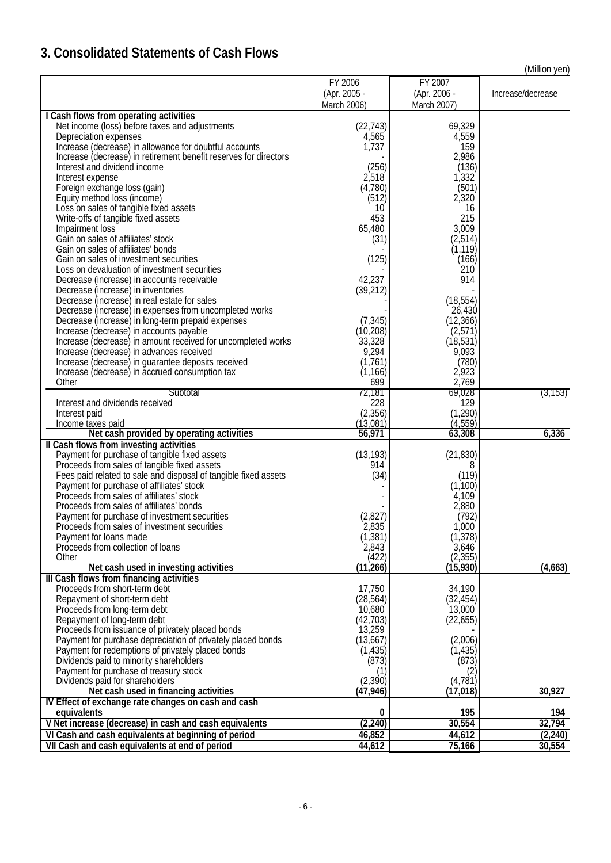# **3. Consolidated Statements of Cash Flows**

(Million yen)

|                                                                                                                  | FY 2006              | FY 2007              |                   |
|------------------------------------------------------------------------------------------------------------------|----------------------|----------------------|-------------------|
|                                                                                                                  | (Apr. 2005 -         | (Apr. 2006 -         | Increase/decrease |
|                                                                                                                  | March 2006)          | March 2007)          |                   |
| I Cash flows from operating activities                                                                           |                      |                      |                   |
| Net income (loss) before taxes and adjustments                                                                   | (22, 743)            | 69,329               |                   |
| Depreciation expenses                                                                                            | 4,565                | 4,559                |                   |
| Increase (decrease) in allowance for doubtful accounts                                                           | 1,737                | 159                  |                   |
| Increase (decrease) in retirement benefit reserves for directors                                                 |                      | 2,986                |                   |
| Interest and dividend income                                                                                     | (256)<br>2,518       | (136)                |                   |
| Interest expense<br>Foreign exchange loss (gain)                                                                 | (4,780)              | 1,332<br>(501)       |                   |
| Equity method loss (income)                                                                                      | (512)                | 2,320                |                   |
| Loss on sales of tangible fixed assets                                                                           | 10                   | 16                   |                   |
| Write-offs of tangible fixed assets                                                                              | 453                  | 215                  |                   |
| Impairment loss                                                                                                  | 65,480               | 3,009                |                   |
| Gain on sales of affiliates' stock                                                                               | (31)                 | (2, 514)             |                   |
| Gain on sales of affiliates' bonds                                                                               |                      | (1, 119)             |                   |
| Gain on sales of investment securities                                                                           | (125)                | (166)                |                   |
| Loss on devaluation of investment securities                                                                     |                      | 210                  |                   |
| Decrease (increase) in accounts receivable                                                                       | 42,237               | 914                  |                   |
| Decrease (increase) in inventories                                                                               | (39, 212)            |                      |                   |
| Decrease (increase) in real estate for sales                                                                     |                      | (18, 554)            |                   |
| Decrease (increase) in expenses from uncompleted works<br>Decrease (increase) in long-term prepaid expenses      | (7, 345)             | 26,430<br>(12, 366)  |                   |
| Increase (decrease) in accounts payable                                                                          | (10, 208)            | (2,571)              |                   |
| Increase (decrease) in amount received for uncompleted works                                                     | 33,328               | (18, 531)            |                   |
| Increase (decrease) in advances received                                                                         | 9,294                | 9,093                |                   |
| Increase (decrease) in guarantee deposits received                                                               | (1,761)              | (780)                |                   |
| Increase (decrease) in accrued consumption tax                                                                   | (1, 166)             | 2,923                |                   |
| Other                                                                                                            | 699                  | 2,769                |                   |
| Subtotal                                                                                                         | 72,181               | 69,028               | (3,153)           |
| Interest and dividends received                                                                                  | 228                  | 129                  |                   |
| Interest paid                                                                                                    | (2, 356)<br>(13,081) | (1, 290)<br>(4, 559) |                   |
| Income taxes paid<br>Net cash provided by operating activities                                                   | 56,971               | 63,308               | 6,336             |
| Il Cash flows from investing activities                                                                          |                      |                      |                   |
| Payment for purchase of tangible fixed assets                                                                    | (13, 193)            | (21, 830)            |                   |
| Proceeds from sales of tangible fixed assets                                                                     | 914                  | 8                    |                   |
| Fees paid related to sale and disposal of tangible fixed assets                                                  | (34)                 | (119)                |                   |
| Payment for purchase of affiliates' stock                                                                        |                      | (1,100)              |                   |
| Proceeds from sales of affiliates' stock                                                                         |                      | 4,109                |                   |
| Proceeds from sales of affiliates' bonds                                                                         |                      | 2,880                |                   |
| Payment for purchase of investment securities                                                                    | (2, 827)             | (792)                |                   |
| Proceeds from sales of investment securities                                                                     | 2,835                | 1,000'               |                   |
| Payment for loans made<br>Proceeds from collection of loans                                                      | (1, 381)<br>2,843    | (1,378)<br>3,646     |                   |
| Other                                                                                                            | (422)                | (2, 355)             |                   |
| Net cash used in investing activities                                                                            | (11, 266)            | (15, 930)            | (4,663)           |
| III Cash flows from financing activities                                                                         |                      |                      |                   |
| Proceeds from short-term debt                                                                                    | 17,750               | 34,190               |                   |
| Repayment of short-term debt                                                                                     | (28, 564)            | (32, 454)            |                   |
| Proceeds from long-term debt                                                                                     | 10,680               | 13,000               |                   |
| Repayment of long-term debt                                                                                      | (42, 703)            | (22, 655)            |                   |
| Proceeds from issuance of privately placed bonds                                                                 | 13,259               |                      |                   |
| Payment for purchase depreciation of privately placed bonds<br>Payment for redemptions of privately placed bonds | (13,667)<br>(1, 435) | (2,006)<br>(1, 435)  |                   |
| Dividends paid to minority shareholders                                                                          | (873)                | (873)                |                   |
| Payment for purchase of treasury stock                                                                           | (1)                  | (2)                  |                   |
| Dividends paid for shareholders                                                                                  | (2, 390)             | (4, 781)             |                   |
| Net cash used in financing activities                                                                            | (47, 946)            | (17, 018)            | 30,927            |
| IV Effect of exchange rate changes on cash and cash                                                              |                      |                      |                   |
| equivalents                                                                                                      | 0                    | 195                  | 194               |
| V Net increase (decrease) in cash and cash equivalents                                                           | (2, 240)             | 30,554               | 32,794            |
| VI Cash and cash equivalents at beginning of period                                                              | 46,852               | 44,612               | (2, 240)          |
| VII Cash and cash equivalents at end of period                                                                   | 44,612               | 75,166               | 30,554            |